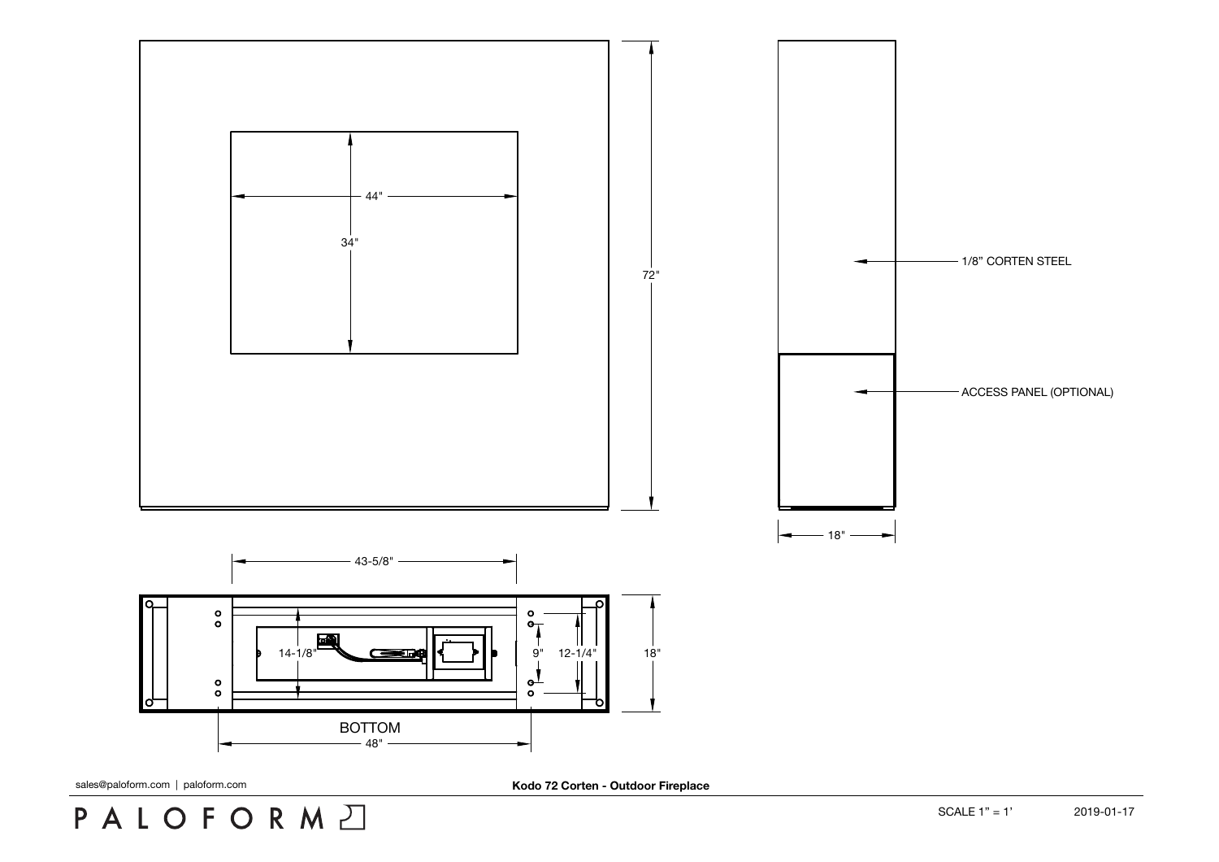## PALOFORMA

sales@paloform.com | paloform.com **Kodo 72 Corten - Outdoor Fireplace**

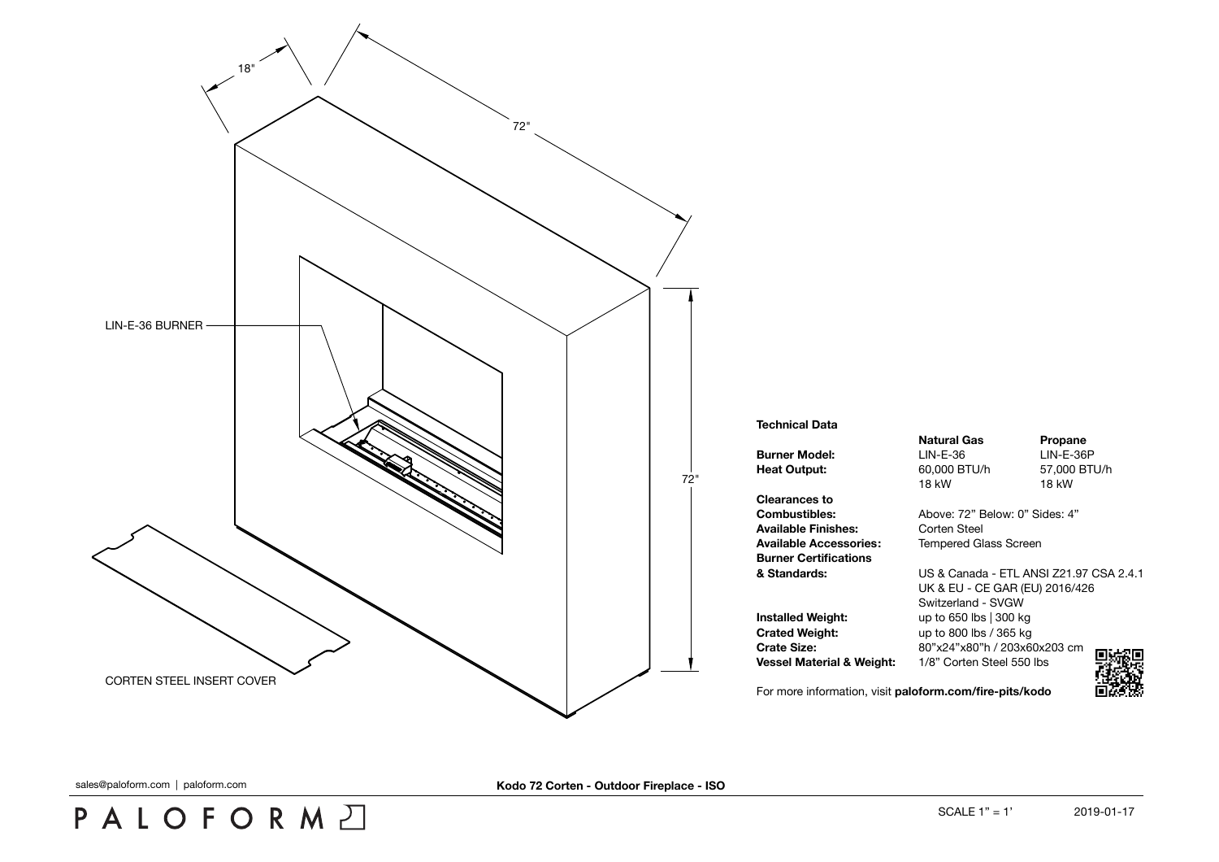

## **Technical Data**

**Clearances to Available Finishes:** Corten Steel **Available Accessories:** Tempered Glass Screen **Burner Certifications**

**Crated Weight:** up to 800 lbs / 365 kg

**Natural Gas Propane Burner Model:** LIN-E-36 LIN-E-36P **Heat Output:** 60,000 BTU/h 57,000 BTU/h 18 kW 18 kW

**Combustibles:** Above: 72" Below: 0" Sides: 4"

**& Standards:** US & Canada - ETL ANSI Z21.97 CSA 2.4.1 UK & EU - CE GAR (EU) 2016/426 Switzerland - SVGW **Installed Weight:** up to 650 lbs | 300 kg **Crate Size:** 80"x24"x80"h / 203x60x203 cm П **Vessel Material & Weight:** 1/8" Corten Steel 550 lbs



For more information, visit **[paloform.com/fire-pits/kodo](http://paloform.com/fireplaces/kodo)**

sales@paloform.com | paloform.com **Kodo 72 Corten - Outdoor Fireplace - ISO**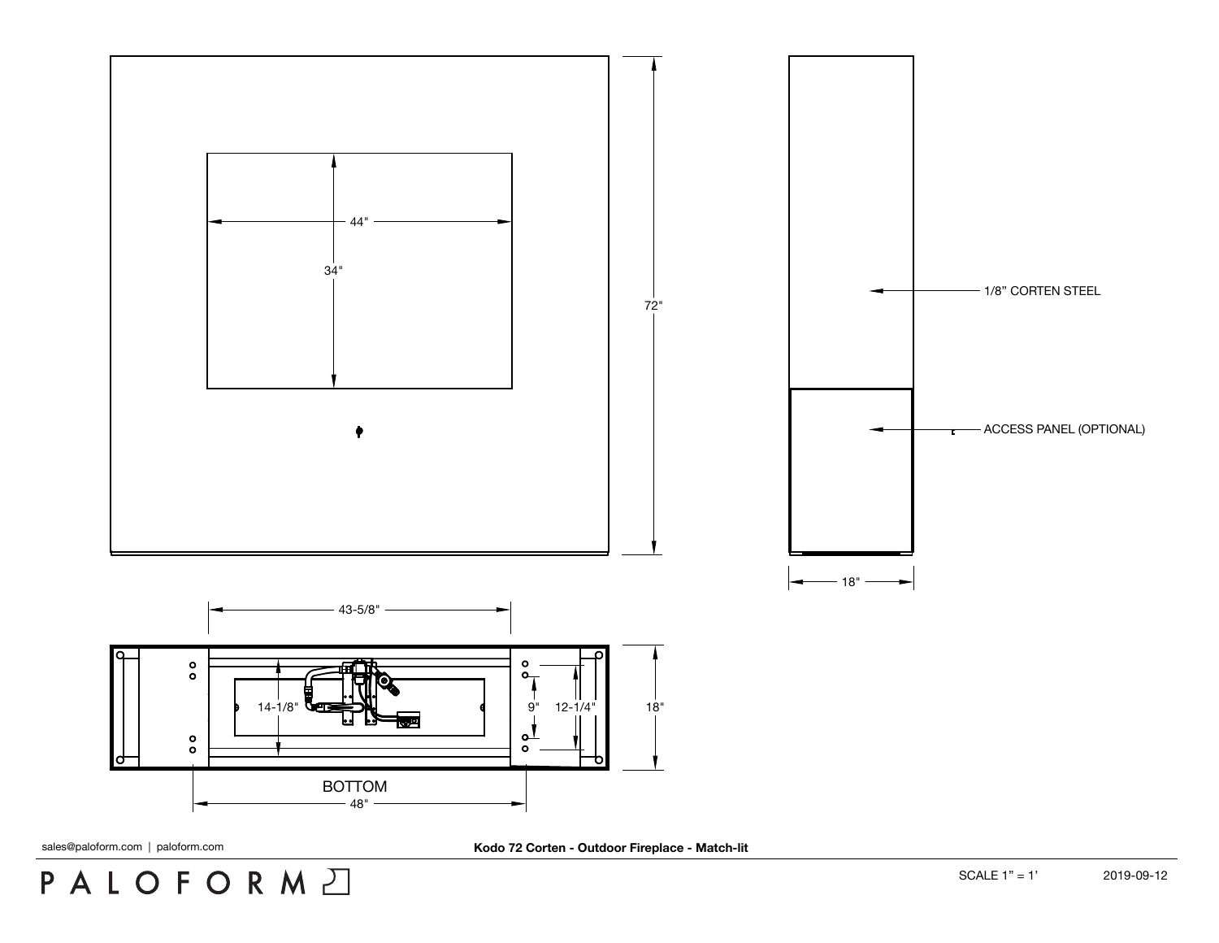

PALOFORMA

sales@paloform.com | paloform.com **Kodo 72 Corten - Outdoor Fireplace - Match-lit**

SCALE 1" = 1' 2019-09-12